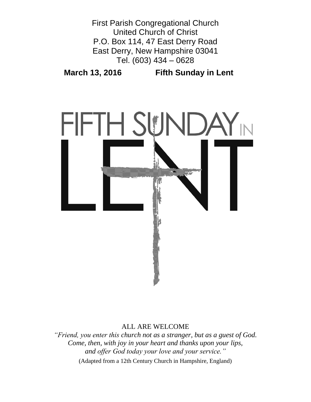

# ALL ARE WELCOME

*"Friend, you enter this church not as a stranger, but as a guest of God. Come, then, with joy in your heart and thanks upon your lips, and offer God today your love and your service."* (Adapted from a 12th Century Church in Hampshire, England)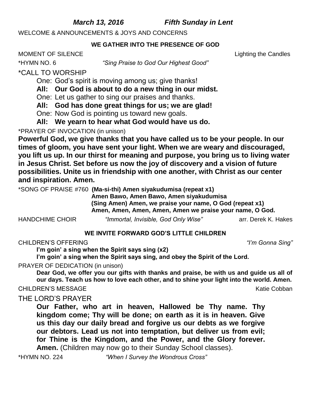*March 13, 2016 Fifth Sunday in Lent*

WELCOME & ANNOUNCEMENTS & JOYS AND CONCERNS

## **WE GATHER INTO THE PRESENCE OF GOD**

MOMENT OF SILENCE Lighting the Candles

\*HYMN NO. 6 *"Sing Praise to God Our Highest Good"*

\*CALL TO WORSHIP

One: God's spirit is moving among us; give thanks!

**All: Our God is about to do a new thing in our midst.**

One: Let us gather to sing our praises and thanks.

**All: God has done great things for us; we are glad!**

One: Now God is pointing us toward new goals.

**All: We yearn to hear what God would have us do.**

\*PRAYER OF INVOCATION (in unison)

**Powerful God, we give thanks that you have called us to be your people. In our times of gloom, you have sent your light. When we are weary and discouraged, you lift us up. In our thirst for meaning and purpose, you bring us to living water in Jesus Christ. Set before us now the joy of discovery and a vision of future possibilities. Unite us in friendship with one another, with Christ as our center and inspiration. Amen.** 

\*SONG OF PRAISE #760 **(Ma-si-thi) Amen siyakudumisa (repeat x1)**

**Amen Bawo, Amen Bawo, Amen siyakudumisa (Sing Amen) Amen, we praise your name, O God (repeat x1) Amen, Amen, Amen, Amen, Amen we praise your name, O God.**

HANDCHIME CHOIR *"Immortal, Invisible, God Only Wise"* arr. Derek K. Hakes

## **WE INVITE FORWARD GOD'S LITTLE CHILDREN**

CHILDREN'S OFFERING *"I'm Gonna Sing"*

**I'm goin' a sing when the Spirit says sing (x2)**

**I'm goin' a sing when the Spirit says sing, and obey the Spirit of the Lord.**

PRAYER OF DEDICATION (in unison)

**Dear God, we offer you our gifts with thanks and praise, be with us and guide us all of our days. Teach us how to love each other, and to shine your light into the world. Amen.** CHILDREN'S MESSAGE KATHOL AND THE COBBAN CHILDREN'S MESSAGE

THE LORD'S PRAYER

**Our Father, who art in heaven, Hallowed be Thy name. Thy kingdom come; Thy will be done; on earth as it is in heaven. Give us this day our daily bread and forgive us our debts as we forgive our debtors. Lead us not into temptation, but deliver us from evil; for Thine is the Kingdom, and the Power, and the Glory forever. Amen.** (Children may now go to their Sunday School classes).

\*HYMN NO. 224 *"When I Survey the Wondrous Cross"*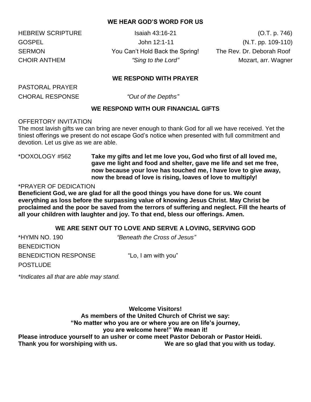## **WE HEAR GOD'S WORD FOR US**

HEBREW SCRIPTURE Isaiah 43:16-21 (O.T. p. 746) GOSPEL John 12:1-11 (N.T. pp. 109-110) SERMON You Can't Hold Back the Spring! The Rev. Dr. Deborah Roof CHOIR ANTHEM *"Sing to the Lord"* Mozart, arr. Wagner

#### **WE RESPOND WITH PRAYER**

PASTORAL PRAYER CHORAL RESPONSE *"Out of the Depths"* 

#### **WE RESPOND WITH OUR FINANCIAL GIFTS**

#### OFFERTORY INVITATION

The most lavish gifts we can bring are never enough to thank God for all we have received. Yet the tiniest offerings we present do not escape God's notice when presented with full commitment and devotion. Let us give as we are able.

\*DOXOLOGY #562 **Take my gifts and let me love you, God who first of all loved me, gave me light and food and shelter, gave me life and set me free, now because your love has touched me, I have love to give away, now the bread of love is rising, loaves of love to multiply!**

\*PRAYER OF DEDICATION

**Beneficient God, we are glad for all the good things you have done for us. We count everything as loss before the surpassing value of knowing Jesus Christ. May Christ be proclaimed and the poor be saved from the terrors of suffering and neglect. Fill the hearts of all your children with laughter and joy. To that end, bless our offerings. Amen.**

#### **WE ARE SENT OUT TO LOVE AND SERVE A LOVING, SERVING GOD**

\*HYMN NO. 190 *"Beneath the Cross of Jesus"* **BENEDICTION** BENEDICTION RESPONSE "Lo, I am with you" **POSTLUDE** 

*\*Indicates all that are able may stand.*

**Welcome Visitors! As members of the United Church of Christ we say: "No matter who you are or where you are on life's journey, you are welcome here!" We mean it! Please introduce yourself to an usher or come meet Pastor Deborah or Pastor Heidi. Thank you for worshiping with us. We are so glad that you with us today.**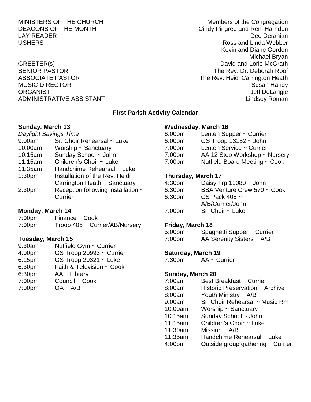MINISTERS OF THE CHURCH MINISTERS OF THE CHURCH DEACONS OF THE MONTH CINC CINC CIND CONSERVERSE CONSERVERSE CONSERVERSE PRODUCED AT A CONSERVERSION CONSERVERSION OF THE MONTH LAY READER **Dee Deranian** USHERS Ross and Linda Webber Kevin and Diane Gordon Michael Bryan GREETER(s) **David and Lorie McGrath** SENIOR PASTOR THE REV. Dr. Deborah Roof ASSOCIATE PASTOR **The Rev. Heidi Carrington Heath** MUSIC DIRECTOR Susan Handy ORGANIST NEWSTAND ORGANIST CONSTRUCTED AND THE SERVICE OF STATE OF STATE OF STATE OF STATE OF STATE OF STATE O ADMINISTRATIVE ASSISTANT AND ALL THE LINDS OF A LINDS AND MINISTRATIVE ASSISTANT

### **First Parish Activity Calendar**

#### **Sunday, March 13**

| <b>Daylight Savings Time</b> |                                    |
|------------------------------|------------------------------------|
| 9:00am                       | Sr. Choir Rehearsal ~ Luke         |
| 10:00am                      | Worship $\sim$ Sanctuary           |
| 10:15am                      | Sunday School ~ John               |
| 11:15am                      | Children's Choir $\sim$ Luke       |
| 11:35am                      | Handchime Rehearsal ~ Luke         |
| 1:30 <sub>pm</sub>           | Installation of the Rev. Heidi     |
|                              | Carrington Heath ~ Sanctuary       |
| 2:30 <sub>pm</sub>           | Reception following installation ~ |
|                              | Currier                            |

#### **Monday, March 14**

7:00pm Finance ~ Cook 7:00pm Troop 405 ~ Currier/AB/Nursery

## **Tuesday, March 15**

- 9:30am Nutfield Gym ~ Currier 4:00pm GS Troop 20993 ~ Currier 6:15pm GS Troop 20321 ~ Luke 6:30pm Faith & Television ~ Cook 6:30pm AA ~ Library 7:00pm Council ~ Cook
- 7:00pm OA ~ A/B

### **Wednesday, March 16**

| 6:00 <sub>pm</sub> | Lenten Supper ~ Currier       |
|--------------------|-------------------------------|
| 6:00pm             | $GS$ Troop 13152 ~ John       |
| 7:00 <sub>pm</sub> | Lenten Service ~ Currier      |
| 7:00 <sub>pm</sub> | AA 12 Step Workshop ~ Nursery |
| 7:00pm             | Nutfield Board Meeting ~ Cook |

### **Thursday, March 17**

| 4:30 <sub>pm</sub> | Daisy Trp $11080 \sim$ John |
|--------------------|-----------------------------|
| 6:30pm             | BSA Venture Crew 570 ~ Cook |
| 6:30pm             | CS Pack 405 $\sim$          |
|                    | A/B/Currier/John            |
| 7:00 <sub>pm</sub> | $Sr.$ Choir $\sim$ Luke     |

#### **Friday, March 18**

| 5:00 <sub>pm</sub> | Spaghetti Supper ~ Currier     |
|--------------------|--------------------------------|
| 7:00 <sub>pm</sub> | AA Serenity Sisters $\sim$ A/B |

#### **Saturday, March 19**

7:30pm AA ~ Currier

#### **Sunday, March 20**

| 7:00am  | Best Breakfast ~ Currier          |
|---------|-----------------------------------|
| 8:00am  | Historic Preservation ~ Archive   |
| 8:00am  | Youth Ministry $\sim$ A/B         |
| 9:00am  | Sr. Choir Rehearsal ~ Music Rm    |
| 10:00am | Worship ~ Sanctuary               |
| 10:15am | Sunday School ~ John              |
| 11:15am | Children's Choir ~ Luke           |
| 11:30am | Mission $\sim$ A/B                |
| 11:35am | Handchime Rehearsal ~ Luke        |
| 4:00pm  | Outside group gathering ~ Currier |